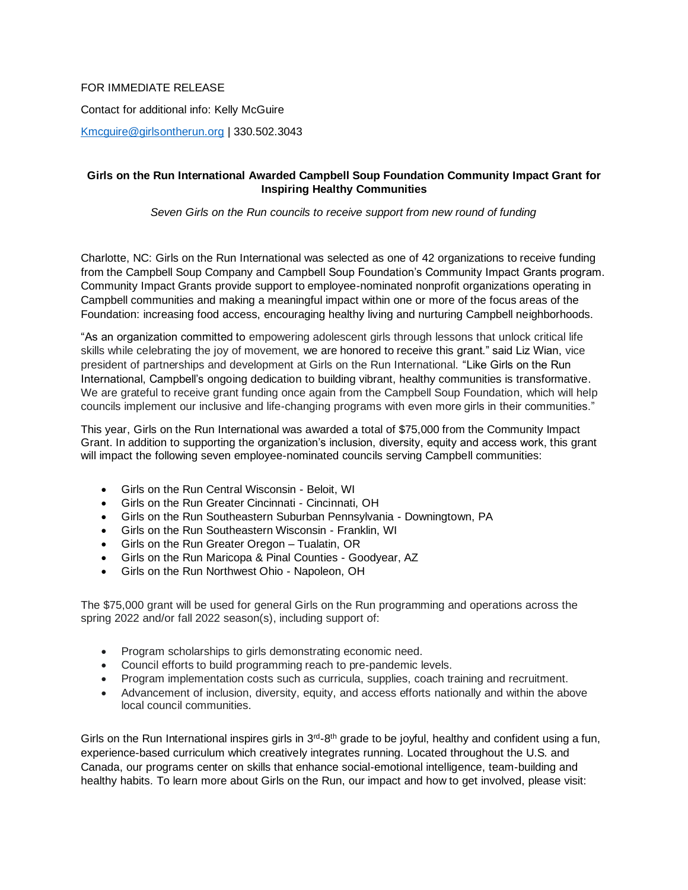## FOR IMMEDIATE RELEASE

Contact for additional info: Kelly McGuire

[Kmcguire@girlsontherun.org](mailto:Kmcguire@girlsontherun.org) | 330.502.3043

## **Girls on the Run International Awarded Campbell Soup Foundation Community Impact Grant for Inspiring Healthy Communities**

*Seven Girls on the Run councils to receive support from new round of funding*

Charlotte, NC: Girls on the Run International was selected as one of 42 organizations to receive funding from the Campbell Soup Company and Campbell Soup Foundation's Community Impact Grants program. Community Impact Grants provide support to employee-nominated nonprofit organizations operating in Campbell communities and making a meaningful impact within one or more of the focus areas of the Foundation: increasing food access, encouraging healthy living and nurturing Campbell neighborhoods.

"As an organization committed to empowering adolescent girls through lessons that unlock critical life skills while celebrating the joy of movement, we are honored to receive this grant." said Liz Wian, vice president of partnerships and development at Girls on the Run International. "Like Girls on the Run International, Campbell's ongoing dedication to building vibrant, healthy communities is transformative. We are grateful to receive grant funding once again from the Campbell Soup Foundation, which will help councils implement our inclusive and life-changing programs with even more girls in their communities."

This year, Girls on the Run International was awarded a total of \$75,000 from the Community Impact Grant. In addition to supporting the organization's inclusion, diversity, equity and access work, this grant will impact the following seven employee-nominated councils serving Campbell communities:

- Girls on the Run Central Wisconsin Beloit, WI
- Girls on the Run Greater Cincinnati Cincinnati, OH
- Girls on the Run Southeastern Suburban Pennsylvania Downingtown, PA
- Girls on the Run Southeastern Wisconsin Franklin, WI
- Girls on the Run Greater Oregon Tualatin, OR
- Girls on the Run Maricopa & Pinal Counties Goodyear, AZ
- Girls on the Run Northwest Ohio Napoleon, OH

The \$75,000 grant will be used for general Girls on the Run programming and operations across the spring 2022 and/or fall 2022 season(s), including support of:

- Program scholarships to girls demonstrating economic need.
- Council efforts to build programming reach to pre-pandemic levels.
- Program implementation costs such as curricula, supplies, coach training and recruitment.
- Advancement of inclusion, diversity, equity, and access efforts nationally and within the above local council communities.

Girls on the Run International inspires girls in  $3<sup>rd</sup>$ -8<sup>th</sup> grade to be joyful, healthy and confident using a fun, experience-based curriculum which creatively integrates running. Located throughout the U.S. and Canada, our programs center on skills that enhance social-emotional intelligence, team-building and healthy habits. To learn more about Girls on the Run, our impact and how to get involved, please visit: